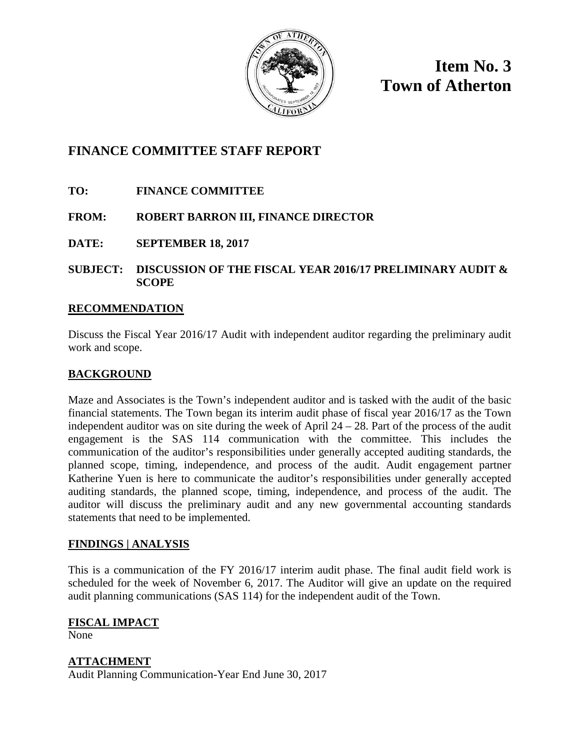

**Item No. 3 Town of Atherton**

# **FINANCE COMMITTEE STAFF REPORT**

- **TO: FINANCE COMMITTEE**
- **FROM: ROBERT BARRON III, FINANCE DIRECTOR**
- **DATE: SEPTEMBER 18, 2017**
- **SUBJECT: DISCUSSION OF THE FISCAL YEAR 2016/17 PRELIMINARY AUDIT & SCOPE**

## **RECOMMENDATION**

Discuss the Fiscal Year 2016/17 Audit with independent auditor regarding the preliminary audit work and scope.

# **BACKGROUND**

Maze and Associates is the Town's independent auditor and is tasked with the audit of the basic financial statements. The Town began its interim audit phase of fiscal year 2016/17 as the Town independent auditor was on site during the week of April  $24 - 28$ . Part of the process of the audit engagement is the SAS 114 communication with the committee. This includes the communication of the auditor's responsibilities under generally accepted auditing standards, the planned scope, timing, independence, and process of the audit. Audit engagement partner Katherine Yuen is here to communicate the auditor's responsibilities under generally accepted auditing standards, the planned scope, timing, independence, and process of the audit. The auditor will discuss the preliminary audit and any new governmental accounting standards statements that need to be implemented.

## **FINDINGS | ANALYSIS**

This is a communication of the FY 2016/17 interim audit phase. The final audit field work is scheduled for the week of November 6, 2017. The Auditor will give an update on the required audit planning communications (SAS 114) for the independent audit of the Town.

# **FISCAL IMPACT**

None

## **ATTACHMENT**

Audit Planning Communication-Year End June 30, 2017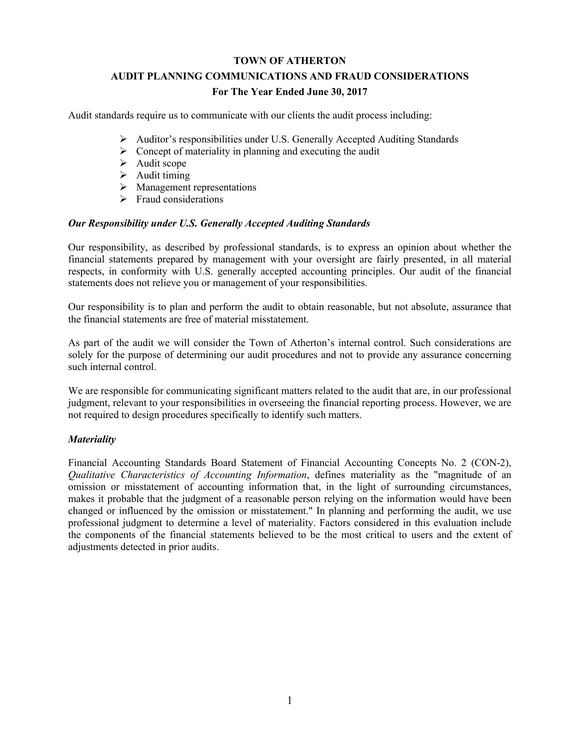# **TOWN OF ATHERTON AUDIT PLANNING COMMUNICATIONS AND FRAUD CONSIDERATIONS For The Year Ended June 30, 2017**

Audit standards require us to communicate with our clients the audit process including:

- Auditor's responsibilities under U.S. Generally Accepted Auditing Standards
- $\triangleright$  Concept of materiality in planning and executing the audit
- $\blacktriangleright$  Audit scope
- $\blacktriangleright$  Audit timing
- $\triangleright$  Management representations
- $\triangleright$  Fraud considerations

### *Our Responsibility under U.S. Generally Accepted Auditing Standards*

Our responsibility, as described by professional standards, is to express an opinion about whether the financial statements prepared by management with your oversight are fairly presented, in all material respects, in conformity with U.S. generally accepted accounting principles. Our audit of the financial statements does not relieve you or management of your responsibilities.

Our responsibility is to plan and perform the audit to obtain reasonable, but not absolute, assurance that the financial statements are free of material misstatement.

As part of the audit we will consider the Town of Atherton's internal control. Such considerations are solely for the purpose of determining our audit procedures and not to provide any assurance concerning such internal control.

We are responsible for communicating significant matters related to the audit that are, in our professional judgment, relevant to your responsibilities in overseeing the financial reporting process. However, we are not required to design procedures specifically to identify such matters.

### *Materiality*

Financial Accounting Standards Board Statement of Financial Accounting Concepts No. 2 (CON-2), *Qualitative Characteristics of Accounting Information*, defines materiality as the "magnitude of an omission or misstatement of accounting information that, in the light of surrounding circumstances, makes it probable that the judgment of a reasonable person relying on the information would have been changed or influenced by the omission or misstatement." In planning and performing the audit, we use professional judgment to determine a level of materiality. Factors considered in this evaluation include the components of the financial statements believed to be the most critical to users and the extent of adjustments detected in prior audits.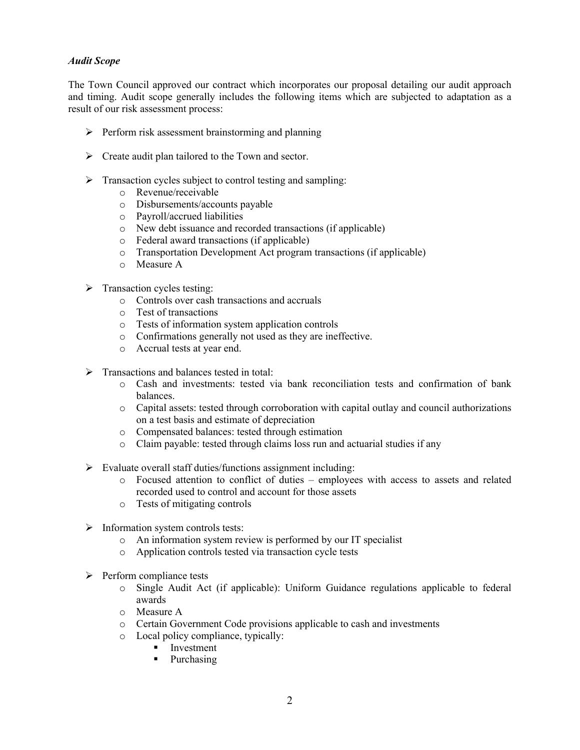### *Audit Scope*

The Town Council approved our contract which incorporates our proposal detailing our audit approach and timing. Audit scope generally includes the following items which are subjected to adaptation as a result of our risk assessment process:

- $\triangleright$  Perform risk assessment brainstorming and planning
- Create audit plan tailored to the Town and sector.
- $\triangleright$  Transaction cycles subject to control testing and sampling:
	- o Revenue/receivable
	- o Disbursements/accounts payable
	- o Payroll/accrued liabilities
	- o New debt issuance and recorded transactions (if applicable)
	- o Federal award transactions (if applicable)
	- o Transportation Development Act program transactions (if applicable)
	- o Measure A
- $\triangleright$  Transaction cycles testing:
	- o Controls over cash transactions and accruals
	- o Test of transactions
	- o Tests of information system application controls
	- o Confirmations generally not used as they are ineffective.
	- o Accrual tests at year end.
- $\triangleright$  Transactions and balances tested in total:
	- o Cash and investments: tested via bank reconciliation tests and confirmation of bank balances.
	- o Capital assets: tested through corroboration with capital outlay and council authorizations on a test basis and estimate of depreciation
	- o Compensated balances: tested through estimation
	- o Claim payable: tested through claims loss run and actuarial studies if any
- $\triangleright$  Evaluate overall staff duties/functions assignment including:
	- o Focused attention to conflict of duties employees with access to assets and related recorded used to control and account for those assets
	- o Tests of mitigating controls
- $\triangleright$  Information system controls tests:
	- o An information system review is performed by our IT specialist
	- o Application controls tested via transaction cycle tests
- $\triangleright$  Perform compliance tests
	- o Single Audit Act (if applicable): Uniform Guidance regulations applicable to federal awards
	- o Measure A
	- o Certain Government Code provisions applicable to cash and investments
	- o Local policy compliance, typically:
		- **Investment**
		- Purchasing